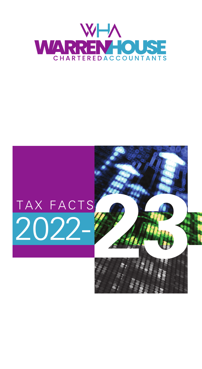

# TAX FACTS<br>**2022-**

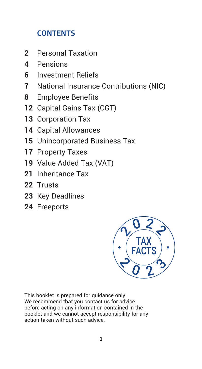# **CONTENTS**

- Personal Taxation
- Pensions
- Investment Reliefs
- National Insurance Contributions (NIC)
- Employee Benefits
- Capital Gains Tax (CGT)
- Corporation Tax
- Capital Allowances
- Unincorporated Business Tax
- Property Taxes
- Value Added Tax (VAT)
- Inheritance Tax
- Trusts
- Key Deadlines
- Freeports



This booklet is prepared for guidance only. We recommend that you contact us for advice before acting on any information contained in the booklet and we cannot accept responsibility for any action taken without such advice.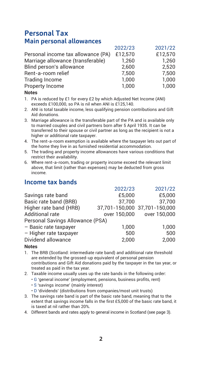# **Personal Tax Main personal allowances**

|                                    | 2022/23 | 2021/22 |
|------------------------------------|---------|---------|
| Personal income tax allowance (PA) | £12.570 | £12.570 |
| Marriage allowance (transferable)  | 1.260   | 1.260   |
| Blind person's allowance           | 2.600   | 2.520   |
| Rent-a-room relief                 | 7.500   | 7.500   |
| <b>Trading Income</b>              | 1.000   | 1.000   |
| Property Income                    | 1.000   | 1.000   |
|                                    |         |         |

### **Notes**

- 1. PA is reduced by £1 for every £2 by which Adjusted Net Income (ANI) exceeds £100,000, so PA is nil when ANI is £125,140.
- 2. ANI is total taxable income, less qualifying pension contributions and Gift Aid donations.
- 3. Marriage allowance is the transferable part of the PA and is available only to married couples and civil partners born after 5 April 1935. It can be transferred to their spouse or civil partner as long as the recipient is not a higher or additional rate taxpayer.
- 4. The rent-a-room exemption is available where the taxpayer lets out part of the home they live in as furnished residential accommodation.
- 5. The trading and property income allowances have various conditions that restrict their availability.
- 6. Where rent-a-room, trading or property income exceed the relevant limit above, that limit (rather than expenses) may be deducted from gross income.

# **Income tax bands**

|                                  | 2022/23                       | 2021/22      |
|----------------------------------|-------------------------------|--------------|
| Savings rate band                | £5.000                        | £5.000       |
| Basic rate band (BRB)            | 37.700                        | 37.700       |
| Higher rate band (HRB)           | 37,701-150,000 37,701-150,000 |              |
| <b>Additional rate</b>           | over 150.000                  | over 150,000 |
| Personal Savings Allowance (PSA) |                               |              |
| - Basic rate taxpayer            | 1.000                         | 1.000        |
| - Higher rate taxpayer           | 500                           | 500          |
| Dividend allowance               | 2.000                         | 2.000        |
|                                  |                               |              |

- 1. The BRB (Scotland: intermediate rate band) and additional rate threshold are extended by the grossed-up equivalent of personal pension contributions and Gift Aid donations paid by the taxpayer in the tax year, or treated as paid in the tax year.
- 2. Taxable income usually uses up the rate bands in the following order:
	- G 'general income' (employment, pensions, business profits, rent)
	- S 'savings income' (mainly interest)
	- D 'dividends' (distributions from companies/most unit trusts)
- 3. The savings rate band is part of the basic rate band, meaning that to the extent that savings income falls in the first £5,000 of the basic rate band, it is taxed at nil rather than 20%.
- 4. Different bands and rates apply to general income in Scotland (see page 3).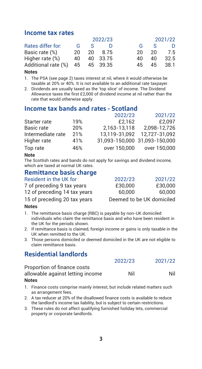### **Income tax rates**

|                     |    |              | 2022/23  |    |    | 2021/22 |
|---------------------|----|--------------|----------|----|----|---------|
| Rates differ for:   | G  | <b>S</b>     |          | G  | S  | D       |
| Basic rate (%)      | 20 | $20^{\circ}$ | 8.75     | 20 | 20 | 7.5     |
| Higher rate (%)     | 40 |              | 40 33.75 | 40 | 40 | 32.5    |
| Additional rate (%) | 45 |              | 45 39.35 | 45 | 45 | 38.1    |

### **Notes**

1. The PSA (see page 2) taxes interest at nil, where it would otherwise be taxable at 20% or 40%. It is not available to an additional rate taxpayer.

2. Dividends are usually taxed as the 'top slice' of income. The Dividend Allowance taxes the first £2,000 of dividend income at nil rather than the rate that would otherwise apply.

### **Income tax bands and rates - Scotland**

|     | 2022/23       | 2021/22                       |
|-----|---------------|-------------------------------|
| 19% | £2.162        | £2.097                        |
| 20% | 2.163-13.118  | 2.098-12.726                  |
| 21% | 13.119-31.092 | 12.727-31.092                 |
| 41% |               |                               |
| 46% | over 150,000  | over 150,000                  |
|     |               | 31.093-150.000 31.093-150.000 |

### **Note**

The Scottish rates and bands do not apply for savings and dividend income, which are taxed at normal UK rates.

# **Remittance basis charge**

| Resident in the UK for       | 2022/23                   | 2021/22 |
|------------------------------|---------------------------|---------|
| 7 of preceding 9 tax years   | £30,000                   | £30,000 |
| 12 of preceding 14 tax years | 60.000                    | 60,000  |
| 15 of preceding 20 tax years | Deemed to be UK domiciled |         |

### **Notes**

- 1. The remittance basis charge (RBC) is payable by non-UK domiciled individuals who claim the remittance basis and who have been resident in the UK for the periods shown.
- 2. If remittance basis is claimed, foreign income or gains is only taxable in the UK when remitted to the UK.
- 3. Those persons domiciled or deemed domiciled in the UK are not eligible to claim remittance basis.

# **Residential landlords**

|                                  | 2022/23 | 2021/22 |
|----------------------------------|---------|---------|
| Proportion of finance costs      |         |         |
| allowable against letting income | Nil     | Nil     |
|                                  |         |         |

- 1. Finance costs comprise mainly interest, but include related matters such as arrangement fees.
- 2. A tax reducer at 20% of the disallowed finance costs is available to reduce the landlord's income tax liability, but is subject to certain restrictions.
- 3. These rules do not affect qualifying furnished holiday lets, commercial property or corporate landlords.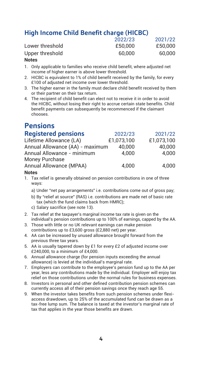# **High Income Child Benefit charge (HICBC)**

|                 | 2022/23 | 2021/22 |
|-----------------|---------|---------|
| Lower threshold | £50,000 | £50,000 |
| Upper threshold | 60.000  | 60,000  |

### **Notes**

- 1. Only applicable to families who receive child benefit, where adjusted net income of higher earner is above lower threshold.
- 2. HICBC is equivalent to 1% of child benefit received by the family, for every £100 of adjusted net income over lower threshold.
- 3. The higher earner in the family must declare child benefit received by them or their partner on their tax return.
- 4. The recipient of child benefit can elect not to receive it in order to avoid the HICBC, without losing their right to accrue certain state benefits. Child benefit payments can subsequently be recommenced if the claimant chooses.

# **Pensions**

| <b>Registered pensions</b>      | 2022/23    | 2021/22    |
|---------------------------------|------------|------------|
| Lifetime Allowance (LA)         | £1.073.100 | £1.073.100 |
| Annual Allowance (AA) - maximum | 40.000     | 40.000     |
| Annual Allowance - minimum      | 4.000      | 4.000      |
| Money Purchase                  |            |            |
| Annual Allowance (MPAA)         | 4.000      | 4.000      |
| $M - 1 - 1$                     |            |            |

- 1. Tax relief is generally obtained on pension contributions in one of three ways:
	- a) Under "net pay arrangements" i.e. contributions come out of gross pay;
	- b) By "relief at source" (RAS) i.e. contributions are made net of basic rate tax (which the fund claims back from HMRC);
	- c) Salary sacrifice (see note 13).
- 2. Tax relief at the taxpayer's marginal income tax rate is given on the individual's pension contributions up to 100% of earnings, capped by the AA.
- 3. Those with little or no UK relevant earnings can make pension contributions up to £3,600 gross (£2,880 net) per year.
- 4. AA can be increased by unused allowance brought forward from the previous three tax years.
- 5. AA is usually tapered down by £1 for every £2 of adjusted income over £240,000, to a minimum of £4,000.
- 6. Annual allowance charge (for pension inputs exceeding the annual allowance) is levied at the individual's marginal rate.
- 7. Employers can contribute to the employee's pension fund up to the AA per year, less any contributions made by the individual. Employer will enjoy tax relief on those contributions under the normal rules for business expenses.
- 8. Investors in personal and other defined contribution pension schemes can currently access all of their pension savings once they reach age 55.
- 9. When the investor takes benefits from such pension schemes under flexiaccess drawdown, up to 25% of the accumulated fund can be drawn as a tax-free lump sum. The balance is taxed at the investor's marginal rate of tax that applies in the year those benefits are drawn.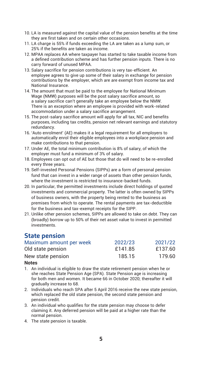- 10. LA is measured against the capital value of the pension benefits at the time they are first taken and on certain other occasions.
- 11. LA charge is 55% if funds exceeding the LA are taken as a lump sum, or 25% if the benefits are taken as income.
- 12. MPAA replaces AA where taxpayer has started to take taxable income from a defined contribution scheme and has further pension inputs. There is no carry forward of unused MPAA.
- 13. Salary sacrifice for pension contributions is very tax-efficient. An employee agrees to give up some of their salary in exchange for pension contributions by the employer, which are are exempt from income tax and National Insurance.
- 14. The amount that must be paid to the employee for National Minimum Wage (NMW) purposes will be the post salary sacrifice amount, so a salary sacrifice can't generally take an employee below the NMW. There is an exception where an employee is provided with work-related accommodation under a salary sacrifice arrangement.
- 15. The post-salary sacrifice amount will apply for all tax, NIC and benefits purposes, including tax credits, pension net relevant earnings and statutory redundancy.
- 16. 'Auto enrolment' (AE) makes it a legal requirement for all employers to automatically enrol their eligible employees into a workplace pension and make contributions to that pension.
- 17. Under AE, the total minimum contribution is 8% of salary, of which the employer must fund a minimum of 3% of salary.
- 18. Employees can opt out of AE but those that do will need to be re-enrolled every three years.
- 19. Self-invested Personal Pensions (SIPPs) are a form of personal pension fund that can invest in a wider range of assets than other pension funds, where the investment is restricted to insurance-backed funds.
- 20. In particular, the permitted investments include direct holdings of quoted investments and commercial property. The latter is often owned by SIPPs of business owners, with the property being rented to the business as premises from which to operate. The rental payments are tax-deductible for the business and tax-exempt receipts for the SIPP.
- 21. Unlike other pension schemes, SIPPs are allowed to take on debt. They can (broadly) borrow up to 50% of their net asset value to invest in permitted investments.

### **State pension**

| Maximum amount per week | 2022/23 | 2021/22 |
|-------------------------|---------|---------|
| Old state pension       | £141.85 | £137.60 |
| New state pension       | 185.15  | 179.60  |

- 1. An individual is eligible to draw the state retirement pension when he or she reaches State Pension Age (SPA). State Pension age is increasing for both men and women. It became 66 in October 2020; thereafter it will gradually increase to 68.
- 2. Individuals who reach SPA after 5 April 2016 receive the new state pension, which replaced the old state pension, the second state pension and pension credit.
- 3. An individual who qualifies for the state pension may choose to defer claiming it. Any deferred pension will be paid at a higher rate than the normal pension.
- 4. The state pension is taxable.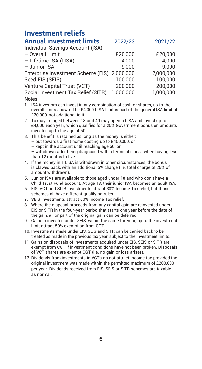# **Investment reliefs**

| 2022/23                                      | 2021/22   |
|----------------------------------------------|-----------|
|                                              |           |
| £20.000                                      | £20,000   |
| 4.000                                        | 4.000     |
| 9.000                                        | 9.000     |
| Enterprise Investment Scheme (EIS) 2,000,000 | 2.000.000 |
| 100.000                                      | 100.000   |
| 200.000                                      | 200.000   |
| 1.000.000                                    | 1.000.000 |
|                                              |           |

- 1. ISA investors can invest in any combination of cash or shares, up to the overall limits shown. The £4,000 LISA limit is part of the general ISA limit of £20,000, not additional to it.
- 2. Taxpayers aged between 18 and 40 may open a LISA and invest up to £4,000 each year, which qualifies for a 25% Government bonus on amounts invested up to the age of 50.
- 3. This benefit is retained as long as the money is either:
	- put towards a first home costing up to £450,000, or
	- kept in the account until reaching age 60, or
	- withdrawn after being diagnosed with a terminal illness when having less than 12 months to live
- 4. If the money in a LISA is withdrawn in other circumstances, the bonus is clawed back, with an additional 5% charge (i.e. total charge of 25% of amount withdrawn).
- 5. Junior ISAs are available to those aged under 18 and who don't have a Child Trust Fund account. At age 18, their junior ISA becomes an adult ISA.
- 6. EIS, VCT and SITR investments attract 30% Income Tax relief, but those schemes all have different qualifying rules.
- 7. SEIS investments attract 50% Income Tax relief.
- 8. Where the disposal proceeds from any capital gain are reinvested under EIS or SITR in the four-year period that starts one year before the date of the gain, all or part of the original gain can be deferred.
- 9. Gains reinvested under SEIS, within the same tax year, up to the investment limit attract 50% exemption from CGT.
- 10. Investments made under EIS, SEIS and SITR can be carried back to be treated as made in the previous tax year, subject to the investment limits.
- 11. Gains on disposals of investments acquired under EIS, SEIS or SITR are exempt from CGT if investment conditions have not been broken. Disposals of VCT shares are exempt CGT (i.e. no gain or loss arises).
- 12. Dividends from investments in VCTs do not attract income tax provided the original investment was made within the permitted maximum of £200,000 per year. Dividends received from EIS, SEIS or SITR schemes are taxable as normal.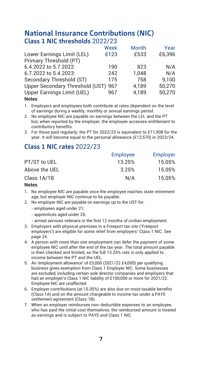# **National Insurance Contributions (NIC) Class 1 NIC thresholds** 2022/23

|                                     | Week | Month | Year   |
|-------------------------------------|------|-------|--------|
| Lower Earnings Limit (LEL)          | £123 | £533  | £6.396 |
| Primary Threshold (PT)              |      |       |        |
| 6.4.2022 to 5.7.2022:               | 190  | 823   | N/A    |
| 6.7.2022 to 5.4.2023:               | 242  | 1.048 | N/A    |
| Secondary Threshold (ST)            | 175  | 758   | 9.100  |
| Upper Secondary Threshold (UST) 967 |      | 4.189 | 50.270 |
| Upper Earnings Limit (UEL)          | 967  | 4.189 | 50.270 |
| $M - L - L$                         |      |       |        |

**Notes**

1. Employers and employees both contribute at rates dependent on the level of earnings during a weekly, monthly or annual earnings period.

- 2. No employee NIC are payable on earnings between the LEL and the PT but, when reported by the employer, the employee accesses entitlement to contributory benefits.
- 3. For those paid regularly, the PT for 2022/23 is equivalent to £11,908 for the year. It will become equal to the personal allowance (£12,570) in 2023/24.

# **Class 1 NIC rates** 2022/23

|               | Employee | Employer |
|---------------|----------|----------|
| PT/ST to UEL  | 13.25%   | 15.05%   |
| Above the UEL | 3.25%    | 15.05%   |
| Class 1A/1B   | N/A      | 15.05%   |

- 1. No employee NIC are payable once the employee reaches state retirement age, but employer NIC continue to be payable.
- 2. No employer NIC are payable on earnings up to the UST for:
	- employees aged under 21;
	- apprentices aged under 25;
	- armed services veterans in the first 12 months of civilian employment.
- 3. Employers with physical premises in a Freeport tax site ('Freeport employers') are eligible for some relief from employers' Class 1 NIC. See page 24.
- 4. A person with more than one employment can defer the payment of some employee NIC until after the end of the tax year. The total amount payable is then checked and limited, so the full 13.25% rate is only applied to income between the PT and the UEL.
- 5. An 'employment allowance' of £5,000 (2021/22 £4,000) per qualifying business gives exemption from Class 1 Employer NIC. Some businesses are excluded, including certain sole director companies and employers that had an employer's Class 1 NIC liability of £100,000 or more for 2021/22. Employee NIC are unaffected.
- 6. Employer contributions (at 15.05%) are also due on most taxable benefits (Class 1A) and on the amount chargeable to income tax under a PAYE settlement agreement (Class 1B).
- 7. When an employer reimburses non-deductible expenses to an employee, who has paid the initial cost themselves, the reimbursed amount is treated as earnings and is subject to PAYE and Class 1 NIC.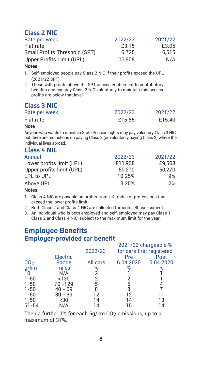# **Class 2 NIC**

| Rate per week                 | 2022/23 | 2021/22 |
|-------------------------------|---------|---------|
| Flat rate                     | £3.15   | £3.05   |
| Small Profits Threshold (SPT) | 6.725   | 6.515   |
| Upper Profits Limit (UPL)     | 11.908  | N/A     |

### **Notes**

- 1. Self-employed people pay Class 2 NIC if their profits exceed the UPL (2021/22 SPT).
- 2. Those with profits above the SPT access entitlement to contributory benefits and can pay Class 2 NIC voluntarily to maintain this access if profits are below that level.

# **Class 3 NIC**

| Rate per week | 2022/23 | 2021/22 |
|---------------|---------|---------|
| Flat rate     | £15.85  | £15.40  |
|               |         |         |

### **Note**

Anyone who wants to maintain State Pension rights may pay voluntary Class 3 NIC, but there are restrictions on paying Class 3 (or voluntarily paying Class 2) where the individual lives abroad.

### **Class 4 NIC**

| Annual                    | 2022/23 | 2021/22 |
|---------------------------|---------|---------|
| Lower profits limit (LPL) | £11.908 | £9.568  |
| Upper profits limit (UPL) | 50.270  | 50.270  |
| LPL to UPL                | 10.25%  | 9%      |
| Above UPL                 | 3.25%   | 2%      |
| $\cdots$                  |         |         |

### **Notes**

- 1. Class 4 NIC are payable on profits from UK trades or professions that exceed the lower profits limit.
- 2. Both Class 2 and Class 4 NIC are collected through self assessment.
- 3. An individual who is both employed and self-employed may pay Class 1, Class 2 and Class 4 NIC, subject to the maximum limit for the year.

# **Employee Benefits Employer-provided car benefit**

|                 |           |          |           | 2021/22 chargeable %      |
|-----------------|-----------|----------|-----------|---------------------------|
|                 |           | 2022/23  |           | for cars first registered |
|                 | Electric  |          | Pre       | Post                      |
| CO <sub>2</sub> | Range     | All cars | 6.04.2020 | 5.04.2020                 |
| q/km            | miles     | %        | %         | %                         |
|                 | N/A       |          |           |                           |
| $1 - 50$        | >130      | 2        |           |                           |
| $1 - 50$        | 70 - 129  | 5        | 5         |                           |
| $1 - 50$        | $40 - 69$ | 8        | 8         |                           |
| $1 - 50$        | $30 - 39$ | 12       | 12        |                           |
| $1 - 50$        | $30$      | 14       | 14        | 13                        |
| $51 - 54$       | N/A       |          | 15        | $\overline{4}$            |
|                 |           |          |           |                           |

Then a further 1% for each 5g/km CO<sub>2</sub> emissions, up to a maximum of 37%.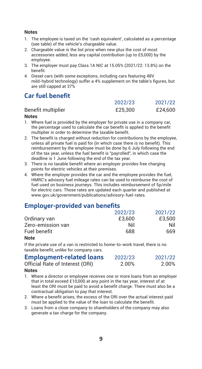### **Notes**

- 1. The employee is taxed on the 'cash equivalent', calculated as a percentage (see table) of the vehicle's chargeable value.
- 2. Chargeable value is the list price when new plus the cost of most accessories added, less any capital contribution (up to £5,000) by the employee.
- 3. The employer must pay Class 1A NIC at 15.05% (2021/22: 13.8%) on the benefit.
- 4. Diesel cars (with some exceptions, including cars featuring 48V mild-hybrid technology) suffer a 4% supplement on the table's figures, but are still capped at 37%

# **Car fuel benefit**

|                    | 2022/23 | 2021/22 |
|--------------------|---------|---------|
| Benefit multiplier | £25,300 | £24.600 |
|                    |         |         |

### **Notes**

- 1. Where fuel is provided by the employer for private use in a company car, the percentage used to calculate the car benefit is applied to the benefit multiplier in order to determine the taxable benefit.
- 2. The benefit is charged without reduction for contributions by the employee, unless all private fuel is paid for (in which case there is no benefit). This reimbursement by the employee must be done by 6 July following the end of the tax year, unless the fuel benefit is "payrolled", in which case the deadline is 1 June following the end of the tax year.
- 3. There is no taxable benefit where an employer provides free charging points for electric vehicles at their premises.
- 4. Where the employer provides the car and the employee provides the fuel, HMRC's advisory fuel mileage rates can be used to reimburse the cost of fuel used on business journeys. This includes reimbursement of 5p/mile for electric cars. Those rates are updated each quarter and published at www.gov.uk/government/publications/advisory-fuel-rates.

# **Employer-provided van benefits**

|                   | 2022/23 | 2021/22 |
|-------------------|---------|---------|
| Ordinary van      | £3,600  | £3.500  |
| Zero-emission van | Nil     | Nil     |
| Fuel benefit      | 688     | 669     |

### **Note**

If the private use of a van is restricted to home-to-work travel, there is no taxable benefit, unlike for company cars.

| <b>Employment-related loans</b> | 2022/23 | 2021/22 |
|---------------------------------|---------|---------|
| Official Rate of Interest (ORI) | 2.00%   | 2.00%   |

- 1. Where a director or employee receives one or more loans from an employer that in total exceed £10,000 at any point in the tax year, interest of at least the ORI must be paid to avoid a benefit charge. There must also be a contractual obligation to pay that interest.
- 2. Where a benefit arises, the excess of the ORI over the actual interest paid must be applied to the value of the loan to calculate the benefit.
- 3. Loans from a close company to shareholders of the company may also generate a tax charge for the company.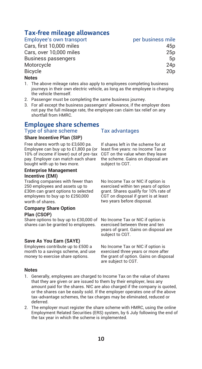# **Tax-free mileage allowances**

Employee's own transport **per per business mile** 

Cars, first 10,000 miles Cars, over 10,000 miles Business passengers Motorcycle Bicycle 20p

| 45p             |
|-----------------|
| 25p             |
| 5p              |
| 24p             |
| 20 <sub>p</sub> |

### **Notes**

- 1. The above mileage rates also apply to employees completing business journeys in their own electric vehicle, as long as the employee is charging the vehicle themself.
- 2. Passenger must be completing the same business journey.
- 3. For all except the business passengers' allowance, if the employer does not pay the full mileage rate, the employee can claim tax relief on any shortfall from HMRC.

### **Employee share schemes** Type of share scheme Tax advantages

### **Share Incentive Plan (SIP)**

Free shares worth up to £3,600 pa. Employee can buy up to £1,800 pa (or least five years: no Income Tax or 10% of income if lower) out of pre-tax CGT on the value when they leave pay. Employer can match each share bought with up to two more.

### **Enterprise Management Incentive (EMI)**

Trading companies with fewer than 250 employees and assets up to £30m can grant options to selected employees to buy up to £250,000 worth of shares.

### **Company Share Option Plan (CSOP)**

Share options to buy up to £30,000 of No Income Tax or NIC if option is shares can be granted to employees.

### **Save As You Earn (SAYE)**

Employees contribute up to £500 a month to a savings scheme, and use money to exercise share options.

### **Notes**

- 1. Generally, employees are charged to Income Tax on the value of shares that they are given or are issued to them by their employer, less any amount paid for the shares. NIC are also charged if the company is quoted, or the shares can be easily sold. If the employer operates one of the above tax-advantage schemes, the tax charges may be eliminated, reduced or deferred.
- 2. The employer must register the share scheme with HMRC, using the online Employment Related Securities (ERS) system, by 6 July following the end of the tax year in which the scheme is implemented.

If shares left in the scheme for at the scheme. Gains on disposal are subject to CGT.

No Income Tax or NIC if option is exercised within ten years of option grant. Shares qualify for 10% rate of CGT on disposal if grant is at least two years before disposal.

exercised between three and ten years of grant. Gains on disposal are subject to CGT.

No Income Tax or NIC if option is exercised three years or more after the grant of option. Gains on disposal are subject to CGT.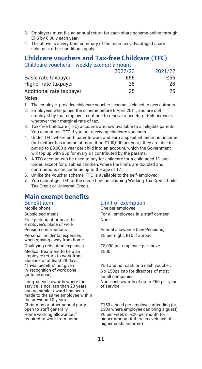- 3. Employers must file an annual return for each share scheme online through ERS by 6 July each year.
- 4. The above is a very brief summary of the main tax-advantaged share schemes; other conditions apply.

### **Childcare vouchers and Tax-free Childcare (TFC)** Childcare vouchers - weekly exempt amount

|                          | 2022/23 | 2021/22 |
|--------------------------|---------|---------|
| Basic rate taxpayer      | £55     | £55     |
| Higher rate taxpayer     | 28      | 28      |
| Additional rate taxpayer | 25      | 25      |

### **Notes**

- 1. The employer-provided childcare voucher scheme is closed to new entrants.
- 2. Employees who joined the scheme before 6 April 2011, and are still employed by that employer, continue to receive a benefit of £55 per week, whatever their marginal rate of tax.
- 3. Tax-free Childcare (TFC) accounts are now available to all eligible parents. You cannot use TFC if you are receiving childcare vouchers.
- 4. Under TFC, where both parents work and earn a specified minimum income (but neither has income of more than £100,000 per year), they are able to put up to £8,000 a year per child into an account, which the Government will top up with 25p for every £1 contributed by the parents.
- 5. A TFC account can be used to pay for childcare for a child aged 11 and under, except for disabled children, where the limits are doubled and contributions can continue up to the age of 17.
- 6. Unlike the voucher scheme, TFC is available to the self-employed.
- 7. You cannot get TFC at the same time as claiming Working Tax Credit, Child Tax Credit or Universal Credit.

# **Main exempt benefits**

Free parking at or near the employee's place of work

Personal incidental expenses when staying away from home

Medical treatment to help an employee return to work from absence of at least 28 days. "Trivial benefits" not given in recognition of work done (or to be done)

Long-service awards where the service is not less than 20 years and no similar award has been made to the same employee within the previous 10 years. Christmas or other annual party open to staff generally Home working allowance if required to work from home

# Benefit item Limit of exemption<br>
Mobile phone one one per employee

One per employee Subsidised meals For all employees in a staff canteen None

Pension contributions **Annual allowance (see Pensions)** £5 per night, £10 if abroad

Qualifying relocation expenses £8,000 per employee per move £500

> £50 and not cash or a cash voucher; 6 x £50pa cap for directors of most small companies Non-cash awards of up to £50 per year of service

£150 a head per employee attending (or £300 where employee can bring a guest) £6 per week or £26 per month (or higher amount if there is evidence of higher costs incurred)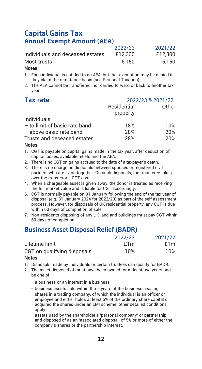# **Capital Gains Tax Annual Exempt Amount (AEA)**

|                                  | 2022/23 | 2021/22 |
|----------------------------------|---------|---------|
| Individuals and deceased estates | £12.300 | £12.300 |
| Most trusts                      | 6.150   | 6.150   |

### **Notes**

- 1. Each individual is entitled to an AEA, but that exemption may be denied if they claim the remittance basis (see Personal Taxation).
- 2. The AEA cannot be transferred, nor carried forward or back to another tax year.

| <b>Tax rate</b>               | 2022/23 & 2021/22       |       |
|-------------------------------|-------------------------|-------|
|                               | Residential<br>property | Other |
| Individuals                   |                         |       |
| - to limit of basic rate band | 18%                     | 10%   |
| - above basic rate band       | 28%                     | 20%   |
| Trusts and deceased estates   | 28%                     | 20%   |

### **Notes**

- 1. CGT is payable on capital gains made in the tax year, after deduction of capital losses, available reliefs and the AEA.
- 2. There is no CGT on gains accrued to the date of a taxpayer's death.
- 3. There is no charge on disposals between spouses or registered civil partners who are living together. On such disposals, the transferee takes over the transferor's CGT cost.
- 4. When a chargeable asset is given away, the donor is treated as receiving the full market value and is liable for CGT accordingly.
- 6. CGT is normally payable on 31 January following the end of the tax year of disposal (e.g. 31 January 2024 for 2022/23) as part of the self assessment process. However, for disposals of UK residential property, any CGT is due within 60 days of completion of sale.
- 7. Non-residents disposing of any UK land and buildings must pay CGT within 60 days of completion

# **Business Asset Disposal Relief (BADR)**

|                             | 2022/23 | 2021/22 |
|-----------------------------|---------|---------|
| Lifetime limit              | £1m     | £1m     |
| CGT on qualifying disposals | 10%     | 10%     |

- 1. Disposals made by individuals or certain trustees can qualify for BADR.
- 2. The asset disposed of must have been owned for at least two years and be one of:
	- a business or an interest in a business
	- business assets sold within three years of the business ceasing
	- shares in a trading company, of which the individual is an officer or employee and either holds at least 5% of the ordinary share capital or acquired the shares under an EMI scheme; other detailed conditions apply
	- assets used by the shareholder's 'personal company' or partnership and disposed of as an 'associated disposal' of 5% or more of either the company's shares or the partnership interest.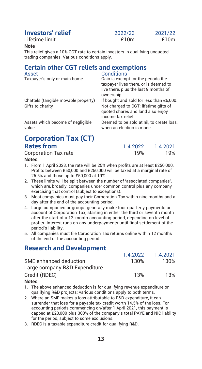| Lifetime limit |  |
|----------------|--|
|                |  |

| Investors' relief | 2022/23 | 2021/22 |
|-------------------|---------|---------|
| Lifetime limit    | f10m    | £10 $m$ |

### **Note**

This relief gives a 10% CGT rate to certain investors in qualifying unquoted trading companies. Various conditions apply.

# **Certain other CGT reliefs and exemptions**

Taxpayer's only or main home

Conditions<br>Gain is exempt for the periods the taxpayer lives there, or is deemed to live there, plus the last 9 months of ownership.

Chattels (tangible movable property) If bought and sold for less than £6,000. Not charged to CGT: lifetime gifts of quoted shares and land also enjoy income tax relief. Deemed to be sold at nil, to create loss,

when an election is made.

Assets which become of negligible value

# **Corporation Tax (CT) Rates from** 1.4.2022 1.4.2021<br>Corporation Tax rate 19% 19% 19%

Corporation Tax rate

### **Notes**

- 1. From 1 April 2023, the rate will be 25% when profits are at least £250,000. Profits between £50,000 and £250,000 will be taxed at a marginal rate of 26.5% and those up to £50,000 at 19%.
- 2. These limits will be split between the number of 'associated companies', which are, broadly, companies under common control plus any company exercising that control (subject to exceptions).
- 3. Most companies must pay their Corporation Tax within nine months and a day after the end of the accounting period.
- 4. Large companies or groups generally make four quarterly payments on account of Corporation Tax, starting in either the third or seventh month after the start of a 12-month accounting period, depending on level of profits. Interest runs on any underpayments until final settlement of the period's liability.
- 5. All companies must file Corporation Tax returns online within 12 months of the end of the accounting period.

# **Research and Development**

|                               | 1 4 2022 | 1.4.2021 |
|-------------------------------|----------|----------|
| SME enhanced deduction        | 130%     | 130%     |
| Large company R&D Expenditure |          |          |
| Credit (RDEC)                 | 13%      | 13%      |
|                               |          |          |

- 1. The above enhanced deduction is for qualifying revenue expenditure on qualifying R&D projects; various conditions apply to both terms.
- 2. Where an SME makes a loss attributable to R&D expenditure, it can surrender that loss for a payable tax credit worth 14.5% of the loss. For accounting periods commencing on/after 1 April 2021, this payment is capped at £20,000 plus 300% of the company's total PAYE and NIC liability for the period, subject to some exclusions.
- 3. RDEC is a taxable expenditure credit for qualifying R&D.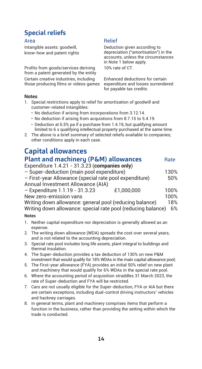# **Special reliefs**

Intangible assets: goodwill, know-how and patent rights

Profits from goods/services deriving from a patent generated by the entity Certain creative industries, including those producing films or videos games

# Area Relief

Deduction given according to depreciation ("amortisation") in the accounts, unless the circumstances in Note 1 below apply. 10% rate of CT.

Enhanced deductions for certain expenditure and losses surrendered for payable tax credits.

### **Notes**

- 1. Special restrictions apply to relief for amortisation of goodwill and customer-related intangibles:
	- No deduction if arising from incorporations from 3.12.14.
	- No deduction if arising from acquistions from 8.7.15 to 5.4.19.
	- Deduction at 6.5% pa if a purchase from 1.4.19, but qualifying amount limited to 6 x qualifying intellectual property purchased at the same time.
- 2. The above is a brief summary of selected reliefs available to companies; other conditions apply in each case.

# **Capital allowances**

| Plant and machinery (P&M) allowances                         |            | Rate |
|--------------------------------------------------------------|------------|------|
| Expenditure $1.4.21 - 31.3.23$ (companies only)              |            |      |
| - Super-deduction (main pool expenditure)                    |            | 130% |
| - First-year Allowance (special rate pool expenditure)       |            | 50%  |
| Annual Investment Allowance (AIA)                            |            |      |
| - Expenditure 1.1.19 - 31.3.23                               | £1.000.000 | 100% |
| New zero-emission vans                                       |            | 100% |
| Writing down allowance: general pool (reducing balance)      |            | 18%  |
| Writing down allowance: special rate pool (reducing balance) |            | 6%   |
| $\cdots$                                                     |            |      |

- 1. Neither capital expenditure nor depreciation is generally allowed as an expense.
- 2. The writing down allowance (WDA) spreads the cost over several years, and is not related to the accounting depreciation.
- 3. Special rate pool includes long life assets, plant integral to buildings and thermal insulation.
- 4. The Super-deduction provides a tax deduction of 130% on new P&M investment that would qualify for 18% WDAs in the main capital allowance pool;
- 5. The First-year allowance (FYA) provides an initial 50% relief on new plant and machinery that would qualify for 6% WDAs in the special rate pool.
- 6. Where the accounting period of acquisition straddles 31 March 2023, the rate of Super-deduction and FYA will be restricted.
- 7. Cars are not usually eligible for the Super-deduction, FYA or AIA but there are certain exceptions, including dual-control driving instructors' vehicles and hackney carriages.
- 8. In general terms, plant and machinery comprises items that perform a function in the business, rather than providing the setting within which the trade is conducted.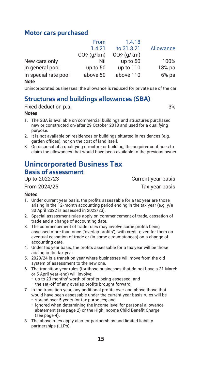# **Motor cars purchased**

|                      | From         | 1.4.18       |           |
|----------------------|--------------|--------------|-----------|
|                      | 1.4.21       | to 31.3.21   | Allowance |
|                      | $CO2$ (q/km) | $CO2$ (g/km) |           |
| New cars only        | Nil          | up to 50     | 100%      |
| In general pool      | up to 50     | up to 110    | 18% pa    |
| In special rate pool | above 50     | above 110    | 6%pa      |
| Note                 |              |              |           |

Unincorporated businesses: the allowance is reduced for private use of the car.

# **Structures and buildings allowances (SBA)**

Fixed deduction p.a. **3%** 

### **Notes**

- 1. The SBA is available on commercial buildings and structures purchased new or constructed on/after 29 October 2018 and used for a qualifying purpose.
- 2. It is not available on residences or buildings situated in residences (e.g. garden offices), nor on the cost of land itself.
- 3. On disposal of a qualifying structure or building, the acquirer continues to claim the allowances that would have been available to the previous owner.

# **Unincorporated Business Tax**

**Basis of assessment**<br>Un to 2022/23

### **Notes**

- 1. Under current year basis, the profits assessable for a tax year are those arising in the 12-month accounting period ending in the tax year (e.g. y/e 30 April 2022 is assessed in 2022/23).
- 2. Special assessment rules apply on commencement of trade, cessation of trade and a change of accounting date.
- 3. The commencement of trade rules may involve some profits being assessed more than once ('overlap profits'), with credit given for them on eventual cessation of trade or (in some circumstances) on a change of accounting date.
- 4. Under tax year basis, the profits assessable for a tax year will be those arising in the tax year.
- 5. 2023/24 is a transition year where businesses will move from the old system of assessment to the new one.
- 6. The transition year rules (for those businesses that do not have a 31 March or 5 April year-end) will involve:
	- up to 23 months' worth of profits being assessed; and
	- the set-off of any overlap profits brought forward.
- 7. In the transition year, any additional profits over and above those that would have been assessable under the current year basis rules will be
	- spread over 5 years for tax purposes; and
	- ignored when determining the income level for personal allowance abatement (see page 2) or the High Income Child Benefit Charge (see page 4).
- 8. The above rules apply also for partnerships and limited liability partnerships (LLPs).

Current year basis From 2024/25 Tax year basis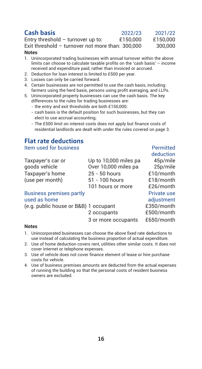| Cash basis                                      | 2022/23 | 2021/22 |
|-------------------------------------------------|---------|---------|
| المقسدية ومرزم ومسروف الملموم والمقروبة المتحدث | 01E0000 | C1E0000 |

Entry threshold – turnover up to:  $£150,000$  £150,000 Exit threshold – turnover not more than: 300,000 300,000 **Notes**

- 1. Unincorporated trading businesses with annual turnover within the above limits can choose to calculate taxable profits on the 'cash basis' – income received and expenditure paid, rather than invoiced or accrued.
- 2. Deduction for loan interest is limited to £500 per year.
- 3. Losses can only be carried forward.
- 4. Certain businesses are not permitted to use the cash basis, including: farmers using the herd basis, persons using profit averaging, and LLPs.
- 5. Unincorporated property businesses can use the cash basis. The key differences to the rules for trading businesses are:
	- the entry and exit thresholds are both £150,000;
	- cash basis is the default position for such businesses, but they can elect to use accrual accounting;
	- The £500 limit on interest costs does not apply but finance costs of residential landlords are dealt with under the rules covered on page 3.

# **Flat rate deductions**

Item used for business Permitted

deduction<br>Taxpaver's car or Up to 10.000 miles pa 45p/mile Taxpayer's car or Up to 10,000 miles pa<br>apposite the 45 pools vehicle to Use 10.000 miles pa Over 10,000 miles pa 25p/mile Taxpayer's home 25 - 50 hours £10/month (use ner month) 51 - 100 hours £18/month  $(use per month)$   $51 - 100 hours$   $£18/month$ 101 hours or more **£26/month** Business premises partly **Example 20** Private use used as home behavior adjustment<br>
(e.g. public house or B&B) 1 occupant can examine f350/month

(e.g. public house or B&B) 1 occupant £350/month 2 occupants

3 or more occupants £650/month

- 1. Unincorporated businesses can choose the above fixed rate deductions to use instead of calculating the business proportion of actual expenditure.
- 2. Use of home deduction covers rent, utilities other similar costs. It does not cover internet or telephone expenses.
- 3. Use of vehicle does not cover finance element of lease or hire purchase costs for vehicle.
- 4. Use of business premises amounts are deducted from the actual expenses of running the building so that the personal costs of resident business owners are excluded.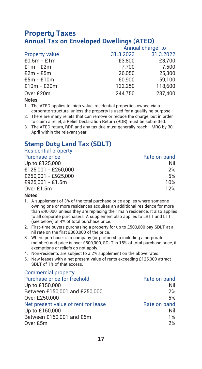# **Property Taxes Annual Tax on Enveloped Dwellings (ATED)**

|                       |           | Annual charge to |
|-----------------------|-----------|------------------|
| <b>Property value</b> | 31.3.2023 | 31.3.2022        |
| $£0.5m - £1m$         | £3,800    | £3.700           |
| $£1m - £2m$           | 7.700     | 7.500            |
| $£2m - £5m$           | 26.050    | 25.300           |
| $E5m - E10m$          | 60.900    | 59.100           |
| $£10m - £20m$         | 122.250   | 118,600          |
| Over £20m             | 244.750   | 237.400          |
|                       |           |                  |

### **Notes**

- 1. The ATED applies to 'high value' residential properties owned via a corporate structure, unless the property is used for a qualifying purpose.
- 2. There are many reliefs that can remove or reduce the charge, but in order to claim a relief, a Relief Declaration Return (RDR) must be submitted.
- 3. The ATED return, RDR and any tax due must generally reach HMRC by 30 April within the relevant year.

# **Stamp Duty Land Tax (SDLT)**

Residential property

| Purchase price |              |
|----------------|--------------|
|                |              |
|                | Rate on band |
|                |              |

| Up to £125,000      | Nil |
|---------------------|-----|
| £125.001 - £250.000 | 2%  |
| £250.001 - £925.000 | 5%  |
| £925.001 - £1.5m    | 10% |
| Over £1.5m          | 12% |
|                     |     |

- 1. A supplement of 3% of the total purchase price applies where someone owning one or more residences acquires an additional residence for more than £40,000, unless they are replacing their main residence. It also applies to all corporate purchasers. A supplement also applies to LBTT and LTT (see below) at 4% of total purchase price.
- 2. First-time buyers purchasing a property for up to £500,000 pay SDLT at a nil rate on the first £300,000 of the price.
- 3. Where purchaser is a company (or partnership including a corporate member) and price is over £500,000, SDLT is 15% of total purchase price, if exemptions or reliefs do not apply.
- 4. Non-residents are subject to a 2% supplement on the above rates.
- 5. New leases with a net present value of rents exceeding £125,000 attract SDLT of 1% of that excess.

| <b>Commercial property</b>          |              |
|-------------------------------------|--------------|
| Purchase price for freehold         | Rate on band |
| Up to £150,000                      | Nil          |
| Between £150,001 and £250,000       | 2%           |
| Over £250,000                       | 5%           |
| Net present value of rent for lease | Rate on band |
| Up to £150,000                      | Nil          |
| Between £150,001 and £5m            | 1%           |
| Over £5m                            | 2%           |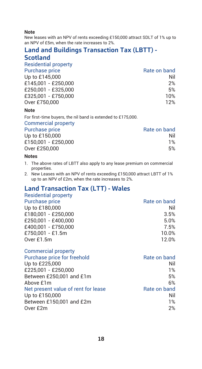### **Note**

New leases with an NPV of rents exceeding £150,000 attract SDLT of 1% up to an NPV of £5m, when the rate increases to 2%.

# **Land and Buildings Transaction Tax (LBTT) -**

# **Scotland**

Residential property

| Rate on band |
|--------------|
| Nil          |
| 2%           |
| 5%           |
| 10%          |
| 12%          |
|              |

### **Note**

For first-time buyers, the nil band is extended to £175,000.

### Commercial property

| Rate on band |
|--------------|
| Nil          |
| 1%           |
| 5%           |
|              |

### **Notes**

- 1. The above rates of LBTT also apply to any lease premium on commercial properties.
- 2. New Leases with an NPV of rents exceeding £150,000 attract LBTT of 1% up to an NPV of £2m, when the rate increases to 2%.

# **Land Transaction Tax (LTT) - Wales**

| Residential property |  |  |  |
|----------------------|--|--|--|
|                      |  |  |  |

| Rate on band |
|--------------|
| Nil          |
| 3.5%         |
| 5.0%         |
| 7.5%         |
| 10.0%        |
| 12.0%        |
|              |

| <b>Commercial property</b>          |              |
|-------------------------------------|--------------|
| Purchase price for freehold         | Rate on band |
| Up to £225,000                      | Nil          |
| £225.001 - £250.000                 | 1%           |
| Between £250,001 and £1m            | 5%           |
| Above £1m                           | 6%           |
| Net present value of rent for lease | Rate on band |
| Up to £150,000                      | Nil          |
| Between £150,001 and £2m            | 1%           |
| Over £2m                            | 2%           |
|                                     |              |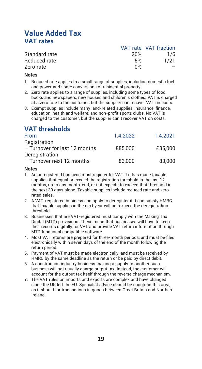# **Value Added Tax VAT rates**

|               |     | VAT rate VAT traction |
|---------------|-----|-----------------------|
| Standard rate | 20% | 1/6                   |
| Reduced rate  | .5% | 1/21                  |
| Zero rate     | በ%  |                       |
|               |     |                       |

### **Notes**

- 1. Reduced rate applies to a small range of supplies, including domestic fuel and power and some conversions of residential property.
- 2. Zero rate applies to a range of supplies, including some types of food, books and newspapers, new houses and children's clothes. VAT is charged at a zero rate to the customer, but the supplier can recover VAT on costs.
- 3. Exempt supplies include many land-related supplies, insurance, finance, education, health and welfare, and non-profit sports clubs. No VAT is charged to the customer, but the supplier can't recover VAT on costs.

# **VAT thresholds**

| From                          | 1.4.2022 | 1.4.2021 |
|-------------------------------|----------|----------|
| Registration                  |          |          |
| - Turnover for last 12 months | £85,000  | £85,000  |
| Deregistration                |          |          |
| - Turnover next 12 months     | 83,000   | 83,000   |
|                               |          |          |

- 1. An unregistered business must register for VAT if it has made taxable supplies that equal or exceed the registration threshold in the last 12 months, up to any month-end, or if it expects to exceed that threshold in the next 30 days alone. Taxable supplies include reduced rate and zerorated sales.
- 2. A VAT-registered business can apply to deregister if it can satisfy HMRC that taxable supplies in the next year will not exceed the deregistration threshold.
- 3. Businesses that are VAT-registered must comply with the Making Tax Digital (MTD) provisions. These mean that businesses will have to keep their records digitally for VAT and provide VAT return information through MTD functional compatible software.
- 4. Most VAT returns are prepared for three-month periods, and must be filed electronically within seven days of the end of the month following the return period.
- 5. Payment of VAT must be made electronically, and must be received by HMRC by the same deadline as the return or be paid by direct debit.
- 6. A construction industry business making a supply to another such business will not usually charge output tax. Instead, the customer will account for the output tax itself through the reverse charge mechanism.
- 7. The VAT rules on imports and exports are complex and have changed since the UK left the EU. Specialist advice should be sought in this area, as it should for transactions in goods between Great Britain and Northern Ireland.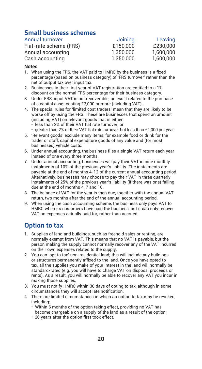# **Small business schemes**

| Annual turnover        | Joining   | Leaving   |
|------------------------|-----------|-----------|
| Flat-rate scheme (FRS) | £150,000  | £230,000  |
| Annual accounting      | 1.350.000 | 1.600.000 |
| Cash accounting        | 1.350.000 | 1.600.000 |

### **Notes**

- 1. When using the FRS, the VAT paid to HMRC by the business is a fixed percentage (based on business category) of 'FRS turnover' rather than the net of output tax over input tax.
- 2. Businesses in their first year of VAT registration are entitled to a 1% discount on the normal FRS percentage for their business category.
- 3. Under FRS, input VAT is not recoverable, unless it relates to the purchase of a capital asset costing £2,000 or more (including VAT).
- 4. The special rules for 'limited cost traders' mean that they are likely to be worse off by using the FRS. These are businesses that spend an amount (including VAT) on relevant goods that is either:
	- less than 2% of their VAT flat rate turnover; or
	- greater than 2% of their VAT flat rate turnover but less than £1,000 per year.
- 5. 'Relevant goods' exclude many items, for example food or drink for the trader or staff, capital expenditure goods of any value and (for most businesses) vehicle costs.
- 6. Under annual accounting, the business files a single VAT return each year instead of one every three months.
- 7. Under annual accounting, businesses will pay their VAT in nine monthly instalments of 10% of the previous year's liability. The instalments are payable at the end of months 4-12 of the current annual accounting period. Alternatively, businesses may choose to pay their VAT in three quarterly instalments of 25% of the previous year's liability (if there was one) falling due at the end of months 4, 7 and 10.
- 8. The balance of VAT for the year is then due, together with the annual VAT return, two months after the end of the annual accounting period.
- 9. When using the cash accounting scheme, the business only pays VAT to HMRC when its customers have paid the business, but it can only recover VAT on expenses actually paid for, rather than accrued.

# **Option to tax**

- 1. Supplies of land and buildings, such as freehold sales or renting, are normally exempt from VAT. This means that no VAT is payable, but the person making the supply cannot normally recover any of the VAT incurred on their own expenses related to the supply.
- 2. You can 'opt to tax' non-residential land; this will include any buildings or structures permanently affixed to the land. Once you have opted to tax, all the supplies you make of your interest in the land will normally be standard-rated (e.g. you will have to charge VAT on disposal proceeds or rents). As a result, you will normally be able to recover any VAT you incur in making those supplies.
- 3. You must notify HMRC within 30 days of opting to tax, although in some circumstances they will accept late notification.
- 4. There are limited circumstances in which an option to tax may be revoked, including:
	- Within 6 months of the option taking effect, providing no VAT has become chargeable on a supply of the land as a result of the option;
	- 20 years after the option first took effect.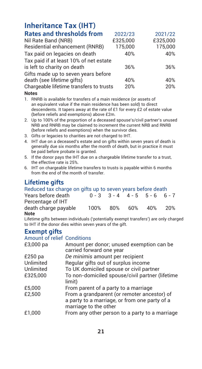# **Inheritance Tax (IHT)**

| <b>Rates and thresholds from</b>        | 2022/23  | 2021/22  |
|-----------------------------------------|----------|----------|
| Nil Rate Band (NRB)                     | £325.000 | £325.000 |
| Residential enhancement (RNRB)          | 175,000  | 175,000  |
| Tax paid on legacies on death           | 40%      | 40%      |
| Tax paid if at least 10% of net estate  |          |          |
| is left to charity on death             | 36%      | 36%      |
| Gifts made up to seven years before     |          |          |
| death (see lifetime gifts)              | 40%      | 40%      |
| Chargeable lifetime transfers to trusts | 20%      | 20%      |
|                                         |          |          |

- **Notes**
- 1. RNRB is available for transfers of a main residence (or assets of an equivalent value if the main residence has been sold) to direct descendents. It tapers away at the rate of £1 for every £2 of estate value (before reliefs and exemptions) above £2m.
- 2. Up to 100% of the proportion of a deceased spouse's/civil partner's unused NRB and RNRB may be claimed to increment the current NRB and RNRB (before reliefs and exemptions) when the survivor dies.
- 3. Gifts or legacies to charities are not charged to IHT.
- 4. IHT due on a deceased's estate and on gifts within seven years of death is generally due six months after the month of death, but in practice it must be paid before probate is granted.
- 5. If the donor pays the IHT due on a chargeable lifetime transfer to a trust, the effective rate is 25%.
- 6. IHT on chargeable lifetime transfers to trusts is payable within 6 months from the end of the month of transfer.

# **Lifetime gifts**

| Reduced tax charge on gifts up to seven years before death                         |      |     |                                         |     |     |
|------------------------------------------------------------------------------------|------|-----|-----------------------------------------|-----|-----|
| Years before death                                                                 |      |     | $0 - 3$ $3 - 4$ $4 - 5$ $5 - 6$ $6 - 7$ |     |     |
| Percentage of IHT                                                                  |      |     |                                         |     |     |
| death charge pavable                                                               | 100% | 80% | 60%                                     | 40% | 20% |
| Note                                                                               |      |     |                                         |     |     |
| Lifetime gifts between individuals ('potentially exempt transfers') are only share |      |     |                                         |     |     |

een individuals ('potentially exempt transfers') are only charged to IHT if the donor dies within seven years of the gift.

### **Exempt gifts**

### Amount of relief Conditions

| £3,000 pa | Amount per donor; unused exemption can be<br>carried forward one year                                                 |
|-----------|-----------------------------------------------------------------------------------------------------------------------|
| £250 pa   | De minimis amount per recipient                                                                                       |
| Unlimited | Regular gifts out of surplus income                                                                                   |
| Unlimited | To UK domiciled spouse or civil partner                                                                               |
| £325.000  | To non-domiciled spouse/civil partner (lifetime<br>limit)                                                             |
| £5,000    | From parent of a party to a marriage                                                                                  |
| £2.500    | From a grandparent (or remoter ancestor) of<br>a party to a marriage, or from one party of a<br>marriage to the other |
| £1.000    | From any other person to a party to a marriage                                                                        |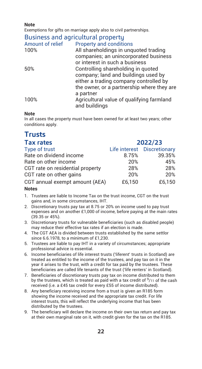**Note**

Exemptions for gifts on marriage apply also to civil partnerships.

# Business and agricultural property

| <b>Property and conditions</b>             |
|--------------------------------------------|
| All shareholdings in unquoted trading      |
| companies: an unincorporated business      |
| or interest in such a business             |
| Controlling shareholding in quoted         |
| company; land and buildings used by        |
| either a trading company controlled by     |
| the owner, or a partnership where they are |
| a partner                                  |
| Agricultural value of qualifying farmland  |
| and buildings                              |
|                                            |

### **Note**

In all cases the property must have been owned for at least two years; other conditions apply.

# **Trusts**

| <b>Tax rates</b>                 | 2022/23 |                             |
|----------------------------------|---------|-----------------------------|
| Type of trust                    |         | Life interest Discretionary |
| Rate on dividend income          | 8.75%   | 39.35%                      |
| Rate on other income             | 20%     | 45%                         |
| CGT rate on residential property | 28%     | 28%                         |
| CGT rate on other gains          | 20%     | 20%                         |
| CGT annual exempt amount (AEA)   | £6.150  | £6.150                      |

- 1. Trustees are liable to Income Tax on the trust income, CGT on the trust gains and, in some circumstances, IHT.
- 2. Discretionary trusts pay tax at 8.75 or 20% on income used to pay trust expenses and on another £1,000 of income, before paying at the main rates (39.35 or 45%).
- 3. Discretionary trusts for vulnerable beneficiaries (such as disabled people) may reduce their effective tax rates if an election is made.
- 4. The CGT AEA is divided between trusts established by the same settlor since 6.6.1978, to a minimum of £1,230.
- 5. Trustees are liable to pay IHT in a variety of circumstances; appropriate professional advice is essential.
- 6. Income beneficiaries of life interest trusts ('liferent' trusts in Scotland) are treated as entitled to the income of the trustees, and pay tax on it in the year it arises to the trust, with a credit for tax paid by the trustees. These beneficiaries are called life tenants of the trust ('life renters' in Scotland).
- 7. Beneficiaries of discretionary trusts pay tax on income distributed to them by the trustees, which is treated as paid with a tax credit of  $9/11$  of the cash received (i.e. a £45 tax credit for every £55 of income distributed).
- 8. Any beneficiary receiving income from a trust is given an R185 form showing the income received and the appropriate tax credit. For life interest trusts, this will reflect the underlying income that has been distributed by the trustees.
- 9. The beneficiary will declare the income on their own tax return and pay tax at their own marginal rate on it, with credit given for the tax on the R185.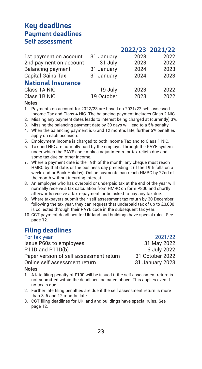# **Key deadlines Payment deadlines Self assessment**

|                           |            | 2022/23 2021/22 |      |
|---------------------------|------------|-----------------|------|
| 1st payment on account    | 31 January | 2023            | 2022 |
| 2nd payment on account    | 31 July    | 2023            | 2022 |
| Balancing payment         | 31 January | 2024            | 2023 |
| Capital Gains Tax         | 31 January | 2024            | 2023 |
| <b>National Insurance</b> |            |                 |      |
| Class 1A NIC              | 19 July    | 2023            | 2022 |
| Class 1B NIC              | 19 October | 2023            | 2022 |
|                           |            |                 |      |

#### **Notes**

1. Payments on account for 2022/23 are based on 2021/22 self-assessed Income Tax and Class 4 NIC. The balancing payment includes Class 2 NIC.

- 2. Missing any payment dates leads to interest being charged at (currently) 3%.
- 3. Missing the balancing payment date by 30 days will lead to a 5% penalty.
- 4. When the balancing payment is 6 and 12 months late, further 5% penalties apply on each occasion.
- 5. Employment income is charged to both Income Tax and to Class 1 NIC.
- 6. Tax and NIC are normally paid by the employer through the PAYE system, under which the PAYE code makes adjustments for tax reliefs due and some tax due on other income.
- 7. Where a payment date is the 19th of the month, any cheque must reach HMRC by that date, or the business day preceding it (if the 19th falls on a week-end or Bank Holiday). Online payments can reach HMRC by 22nd of the month without incurring interest.
- 8. An employee who has overpaid or underpaid tax at the end of the year will normally receive a tax calculation from HMRC on form P800 and shortly afterwards receive a tax repayment, or be asked to pay any tax due.
- 9. Where taxpayers submit their self assessment tax return by 30 December following the tax year, they can request that underpaid tax of up to £3,000 is collected through their PAYE code in the subsequent tax year.
- 10 CGT payment deadlines for UK land and buildings have special rules. See page 12.

# **Filing deadlines**

For tax year 2021/22 Issue P60s to employees P11D and P11D(b) 6 July 2022 Paper version of self assessment return 31 October 2022 Online self assessment return 31 January 2023

 **2022/23 2021/22**

- 1. A late filing penalty of £100 will be issued if the self assessment return is not submitted within the deadlines indicated above. This applies even if no tax is due.
- 2. Further late filing penalties are due if the self assessment return is more than 3, 6 and 12 months late.
- 3. CGT filing deadlines for UK land and buildings have special rules. See page 12.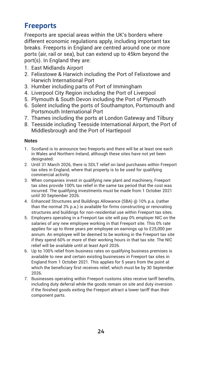# **Freeports**

Freeports are special areas within the UK's borders where different economic regulations apply, including important tax breaks. Freeports in England are centred around one or more ports (air, rail or sea), but can extend up to 45km beyond the port(s). In England they are:

- 1. East Midlands Airport
- 2. Felixstowe & Harwich including the Port of Felixstowe and Harwich International Port
- 3. Humber including parts of Port of Immingham
- 4. Liverpool City Region including the Port of Liverpool
- 5. Plymouth & South Devon including the Port of Plymouth
- 6. Solent including the ports of Southampton, Portsmouth and Portsmouth International Port
- 7. Thames including the ports at London Gateway and Tilbury
- 8. Teesside including Teesside International Airport, the Port of Middlesbrough and the Port of Hartlepool

- 1. Scotland is to announce two freeports and there will be at least one each in Wales and Northern Ireland, although these sites have not yet been designated.
- 2. Until 31 March 2026, there is SDLT relief on land purchases within Freeport tax sites in England, where that property is to be used for qualifying commercial activity.
- 3. When companies invest in qualifying new plant and machinery, Freeport tax sites provide 100% tax relief in the same tax period that the cost was incurred. The qualifying investments must be made from 1 October 2021 until 30 September 2026.
- 4. Enhanced Structures and Buildings Allowance (SBA) @ 10% p.a. (rather than the normal 3% p.a.) is available for firms constructing or renovating structures and buildings for non-residential use within Freeport tax sites.
- 5. Employers operating in a Freeport tax site will pay 0% employer NIC on the salaries of any new employee working in that Freeport site. This 0% rate applies for up to three years per employee on earnings up to £25,000 per annum. An employee will be deemed to be working in the Freeport tax site if they spend 60% or more of their working hours in that tax site. The NIC relief will be available until at least April 2026.
- 6. Up to 100% relief from business rates on qualifying business premises is available to new and certain existing businesses in Freeport tax sites in England from 1 October 2021. This applies for 5 years from the point at which the beneficiary first receives relief, which must be by 30 September 2026.
- 7. Businesses operating within Freeport customs sites receive tariff benefits, including duty deferral while the goods remain on site and duty inversion if the finished goods exiting the Freeport attract a lower tariff than their component parts.